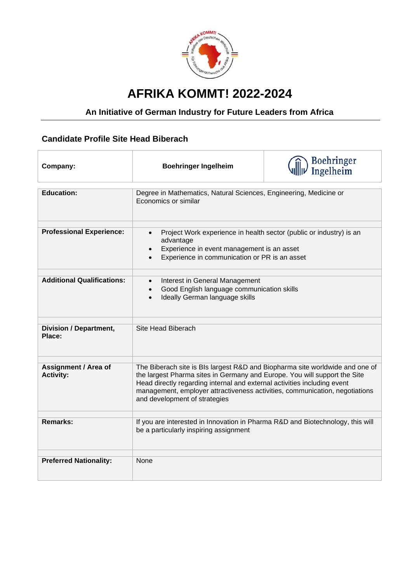

## **AFRIKA KOMMT! 2022-2024**

## **An Initiative of German Industry for Future Leaders from Africa**

## **Candidate Profile Site Head Biberach**

| Company:                                        | <b>Boehringer Ingelheim</b>                                                                                                                                                                                                                                                                                                                           | Boehringer<br>Ingelheim |
|-------------------------------------------------|-------------------------------------------------------------------------------------------------------------------------------------------------------------------------------------------------------------------------------------------------------------------------------------------------------------------------------------------------------|-------------------------|
| <b>Education:</b>                               | Degree in Mathematics, Natural Sciences, Engineering, Medicine or<br>Economics or similar                                                                                                                                                                                                                                                             |                         |
| <b>Professional Experience:</b>                 | Project Work experience in health sector (public or industry) is an<br>advantage<br>Experience in event management is an asset<br>Experience in communication or PR is an asset                                                                                                                                                                       |                         |
| <b>Additional Qualifications:</b>               | Interest in General Management<br>$\bullet$<br>Good English language communication skills<br>Ideally German language skills<br>$\bullet$                                                                                                                                                                                                              |                         |
| <b>Division / Department,</b><br>Place:         | Site Head Biberach                                                                                                                                                                                                                                                                                                                                    |                         |
| <b>Assignment / Area of</b><br><b>Activity:</b> | The Biberach site is BIs largest R&D and Biopharma site worldwide and one of<br>the largest Pharma sites in Germany and Europe. You will support the Site<br>Head directly regarding internal and external activities including event<br>management, employer attractiveness activities, communication, negotiations<br>and development of strategies |                         |
| Remarks:                                        | If you are interested in Innovation in Pharma R&D and Biotechnology, this will<br>be a particularly inspiring assignment                                                                                                                                                                                                                              |                         |
| <b>Preferred Nationality:</b>                   | None                                                                                                                                                                                                                                                                                                                                                  |                         |